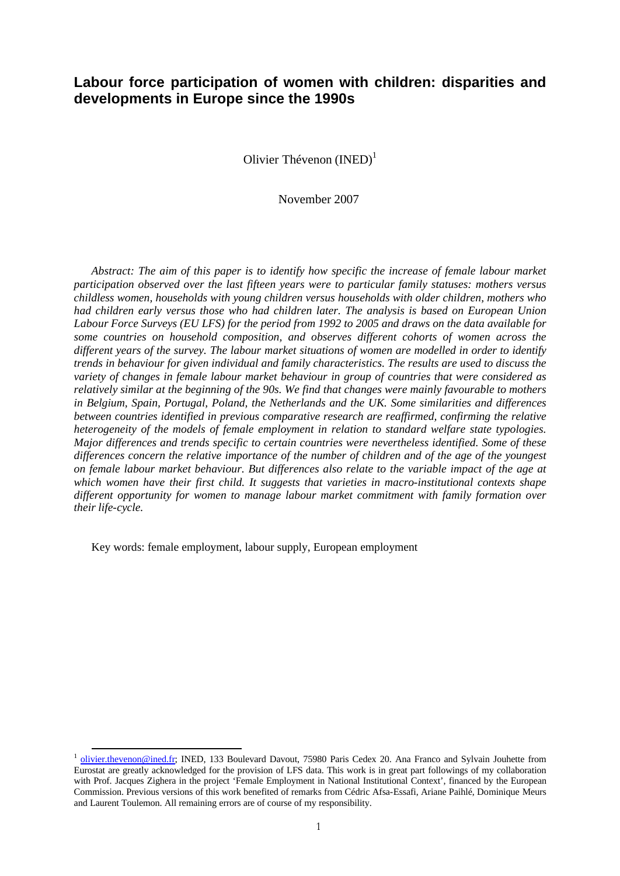# **Labour force participation of women with children: disparities and developments in Europe since the 1990s**

Olivier Thévenon  $(INED)^1$ 

November 2007

*Abstract: The aim of this paper is to identify how specific the increase of female labour market participation observed over the last fifteen years were to particular family statuses: mothers versus childless women, households with young children versus households with older children, mothers who had children early versus those who had children later. The analysis is based on European Union Labour Force Surveys (EU LFS) for the period from 1992 to 2005 and draws on the data available for some countries on household composition, and observes different cohorts of women across the different years of the survey. The labour market situations of women are modelled in order to identify trends in behaviour for given individual and family characteristics. The results are used to discuss the variety of changes in female labour market behaviour in group of countries that were considered as relatively similar at the beginning of the 90s. We find that changes were mainly favourable to mothers in Belgium, Spain, Portugal, Poland, the Netherlands and the UK. Some similarities and differences between countries identified in previous comparative research are reaffirmed, confirming the relative heterogeneity of the models of female employment in relation to standard welfare state typologies. Major differences and trends specific to certain countries were nevertheless identified. Some of these differences concern the relative importance of the number of children and of the age of the youngest on female labour market behaviour. But differences also relate to the variable impact of the age at which women have their first child. It suggests that varieties in macro-institutional contexts shape different opportunity for women to manage labour market commitment with family formation over their life-cycle.*

Key words: female employment, labour supply, European employment

<sup>&</sup>lt;sup>1</sup> olivier.thevenon@ined.fr; INED, 133 Boulevard Davout, 75980 Paris Cedex 20. Ana Franco and Sylvain Jouhette from Eurostat are greatly acknowledged for the provision of LFS data. This work is in great part followings of my collaboration with Prof. Jacques Zighera in the project 'Female Employment in National Institutional Context', financed by the European Commission. Previous versions of this work benefited of remarks from Cédric Afsa-Essafi, Ariane Paihlé, Dominique Meurs and Laurent Toulemon. All remaining errors are of course of my responsibility.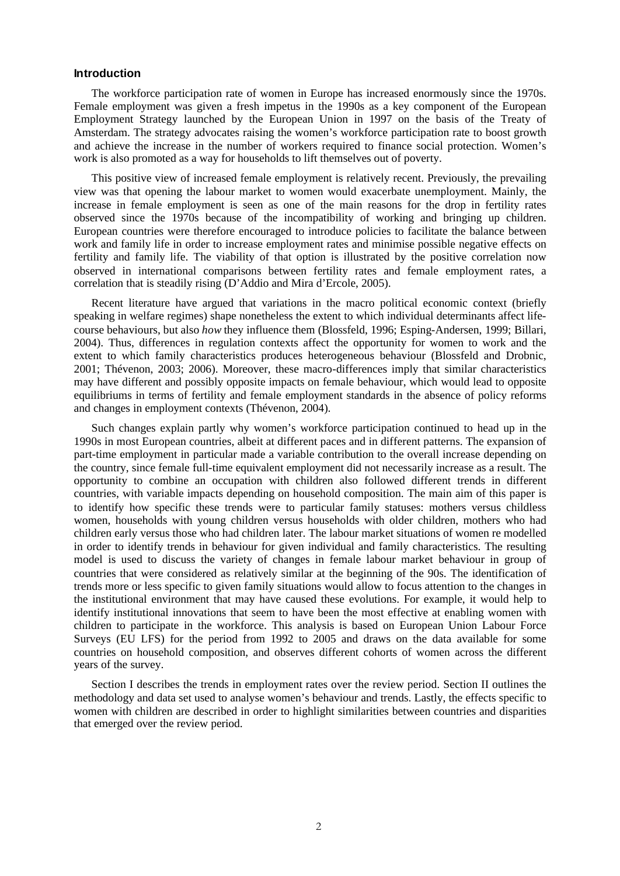## **Introduction**

The workforce participation rate of women in Europe has increased enormously since the 1970s. Female employment was given a fresh impetus in the 1990s as a key component of the European Employment Strategy launched by the European Union in 1997 on the basis of the Treaty of Amsterdam. The strategy advocates raising the women's workforce participation rate to boost growth and achieve the increase in the number of workers required to finance social protection. Women's work is also promoted as a way for households to lift themselves out of poverty.

This positive view of increased female employment is relatively recent. Previously, the prevailing view was that opening the labour market to women would exacerbate unemployment. Mainly, the increase in female employment is seen as one of the main reasons for the drop in fertility rates observed since the 1970s because of the incompatibility of working and bringing up children. European countries were therefore encouraged to introduce policies to facilitate the balance between work and family life in order to increase employment rates and minimise possible negative effects on fertility and family life. The viability of that option is illustrated by the positive correlation now observed in international comparisons between fertility rates and female employment rates, a correlation that is steadily rising (D'Addio and Mira d'Ercole, 2005).

Recent literature have argued that variations in the macro political economic context (briefly speaking in welfare regimes) shape nonetheless the extent to which individual determinants affect lifecourse behaviours, but also *how* they influence them (Blossfeld, 1996; Esping-Andersen, 1999; Billari, 2004). Thus, differences in regulation contexts affect the opportunity for women to work and the extent to which family characteristics produces heterogeneous behaviour (Blossfeld and Drobnic, 2001; Thévenon, 2003; 2006). Moreover, these macro-differences imply that similar characteristics may have different and possibly opposite impacts on female behaviour, which would lead to opposite equilibriums in terms of fertility and female employment standards in the absence of policy reforms and changes in employment contexts (Thévenon, 2004).

Such changes explain partly why women's workforce participation continued to head up in the 1990s in most European countries, albeit at different paces and in different patterns. The expansion of part-time employment in particular made a variable contribution to the overall increase depending on the country, since female full-time equivalent employment did not necessarily increase as a result. The opportunity to combine an occupation with children also followed different trends in different countries, with variable impacts depending on household composition. The main aim of this paper is to identify how specific these trends were to particular family statuses: mothers versus childless women, households with young children versus households with older children, mothers who had children early versus those who had children later. The labour market situations of women re modelled in order to identify trends in behaviour for given individual and family characteristics. The resulting model is used to discuss the variety of changes in female labour market behaviour in group of countries that were considered as relatively similar at the beginning of the 90s. The identification of trends more or less specific to given family situations would allow to focus attention to the changes in the institutional environment that may have caused these evolutions. For example, it would help to identify institutional innovations that seem to have been the most effective at enabling women with children to participate in the workforce. This analysis is based on European Union Labour Force Surveys (EU LFS) for the period from 1992 to 2005 and draws on the data available for some countries on household composition, and observes different cohorts of women across the different years of the survey.

Section I describes the trends in employment rates over the review period. Section II outlines the methodology and data set used to analyse women's behaviour and trends. Lastly, the effects specific to women with children are described in order to highlight similarities between countries and disparities that emerged over the review period.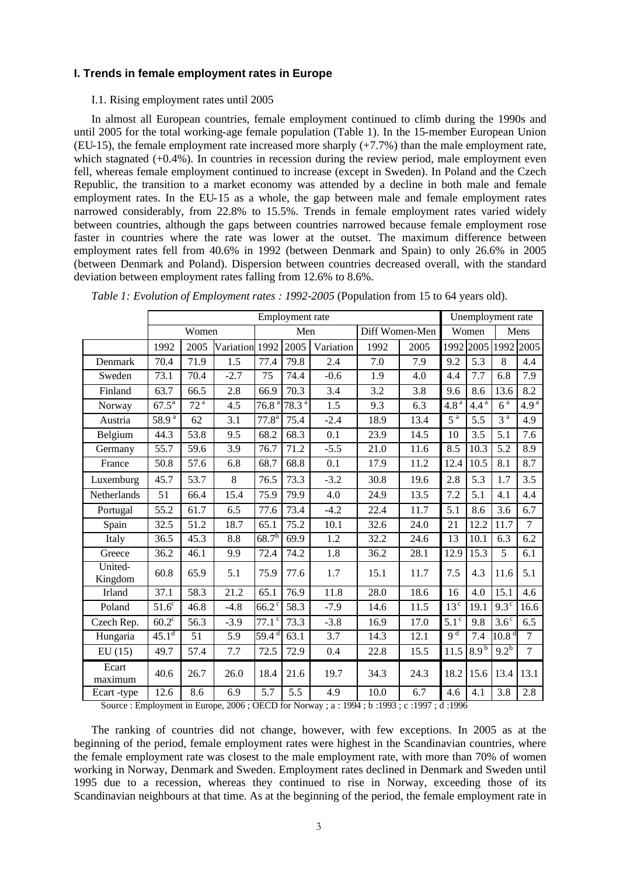# **I. Trends in female employment rates in Europe**

# I.1. Rising employment rates until 2005

In almost all European countries, female employment continued to climb during the 1990s and until 2005 for the total working-age female population (Table 1). In the 15-member European Union (EU-15), the female employment rate increased more sharply (+7.7%) than the male employment rate, which stagnated  $(+0.4\%)$ . In countries in recession during the review period, male employment even fell, whereas female employment continued to increase (except in Sweden). In Poland and the Czech Republic, the transition to a market economy was attended by a decline in both male and female employment rates. In the EU-15 as a whole, the gap between male and female employment rates narrowed considerably, from 22.8% to 15.5%. Trends in female employment rates varied widely between countries, although the gaps between countries narrowed because female employment rose faster in countries where the rate was lower at the outset. The maximum difference between employment rates fell from 40.6% in 1992 (between Denmark and Spain) to only 26.6% in 2005 (between Denmark and Poland). Dispersion between countries decreased overall, with the standard deviation between employment rates falling from 12.6% to 8.6%.

|                    |                   | Employment rate |           |                       |                   |           |                |      | Unemployment rate           |                  |                                |                  |
|--------------------|-------------------|-----------------|-----------|-----------------------|-------------------|-----------|----------------|------|-----------------------------|------------------|--------------------------------|------------------|
|                    |                   | Women           |           |                       | Men               |           | Diff Women-Men |      |                             | Women            | Mens                           |                  |
|                    | 1992              | 2005            | Variation | 1992                  | 2005              | Variation | 1992           | 2005 | 1992                        | 2005             | 1992                           | 2005             |
| Denmark            | 70.4              | 71.9            | 1.5       | 77.4                  | 79.8              | 2.4       | 7.0            | 7.9  | 9.2                         | 5.3              | 8                              | 4.4              |
| Sweden             | 73.1              | 70.4            | $-2.7$    | 75                    | 74.4              | $-0.6$    | 1.9            | 4.0  | 4.4                         | 7.7              | 6.8                            | 7.9              |
| Finland            | 63.7              | 66.5            | 2.8       | 66.9                  | 70.3              | 3.4       | 3.2            | 3.8  | 9.6                         | 8.6              | 13.6                           | 8.2              |
| Norway             | $67.5^{\rm a}$    | 72 <sup>a</sup> | 4.5       | 76.8 <sup>a</sup>     | 78.3 <sup>a</sup> | 1.5       | 9.3            | 6.3  | 4.8 <sup>a</sup>            | 4.4 <sup>a</sup> | 6 <sup>a</sup>                 | 4.9 <sup>a</sup> |
| Austria            | $58.9^{a}$        | 62              | 3.1       | 77.8 <sup>a</sup>     | 75.4              | $-2.4$    | 18.9           | 13.4 | $\overline{5}$ <sup>a</sup> | 5.5              | 3 <sup>a</sup>                 | 4.9              |
| Belgium            | 44.3              | 53.8            | 9.5       | 68.2                  | 68.3              | 0.1       | 23.9           | 14.5 | 10                          | 3.5              | 5.1                            | 7.6              |
| Germany            | 55.7              | 59.6            | 3.9       | 76.7                  | 71.2              | $-5.5$    | 21.0           | 11.6 | 8.5                         | 10.3             | 5.2                            | 8.9              |
| France             | 50.8              | 57.6            | 6.8       | 68.7                  | 68.8              | 0.1       | 17.9           | 11.2 | 12.4                        | 10.5             | 8.1                            | 8.7              |
| Luxemburg          | 45.7              | 53.7            | 8         | 76.5                  | 73.3              | $-3.2$    | 30.8           | 19.6 | 2.8                         | 5.3              | 1.7                            | 3.5              |
| Netherlands        | 51                | 66.4            | 15.4      | 75.9                  | 79.9              | 4.0       | 24.9           | 13.5 | 7.2                         | 5.1              | 4.1                            | 4.4              |
| Portugal           | 55.2              | 61.7            | 6.5       | 77.6                  | 73.4              | $-4.2$    | 22.4           | 11.7 | 5.1                         | 8.6              | 3.6                            | 6.7              |
| Spain              | 32.5              | 51.2            | 18.7      | 65.1                  | 75.2              | 10.1      | 32.6           | 24.0 | 21                          | 12.2             | 11.7                           | 7                |
| Italy              | 36.5              | 45.3            | 8.8       | $68.7^{b}$            | 69.9              | 1.2       | 32.2           | 24.6 | 13                          | 10.1             | 6.3                            | 6.2              |
| Greece             | 36.2              | 46.1            | 9.9       | 72.4                  | 74.2              | 1.8       | 36.2           | 28.1 | 12.9                        | 15.3             | $\overline{5}$                 | 6.1              |
| United-<br>Kingdom | 60.8              | 65.9            | 5.1       | 75.9                  | 77.6              | 1.7       | 15.1           | 11.7 | 7.5                         | 4.3              | 11.6                           | 5.1              |
| <b>Irland</b>      | 37.1              | 58.3            | 21.2      | 65.1                  | 76.9              | 11.8      | 28.0           | 18.6 | 16                          | 4.0              | 15.1                           | 4.6              |
| Poland             | $51.6^\circ$      | 46.8            | $-4.8$    | $66.2$ <sup>c</sup>   | 58.3              | $-7.9$    | 14.6           | 11.5 | 13 <sup>c</sup>             | 19.1             | $9.3^\circ$                    | 16.6             |
| Czech Rep.         | $60.2^{\circ}$    | 56.3            | $-3.9$    | $77.1$ <sup>c</sup>   | 73.3              | $-3.8$    | 16.9           | 17.0 | $5.\overline{1^c}$          | 9.8              | $3.6^\circ$                    | 6.5              |
| Hungaria           | 45.1 <sup>d</sup> | 51              | 5.9       | $\overline{59.4}^{d}$ | 63.1              | 3.7       | 14.3           | 12.1 | q <sup>d</sup>              | 7.4              | $10.\overline{8}$ <sup>d</sup> | $\overline{7}$   |
| EU(15)             | 49.7              | 57.4            | 7.7       | 72.5                  | 72.9              | 0.4       | 22.8           | 15.5 | 11.5                        | 8.9 <sup>b</sup> | $9.2^{b}$                      | $\overline{7}$   |
| Ecart<br>maximum   | 40.6              | 26.7            | 26.0      | 18.4                  | 21.6              | 19.7      | 34.3           | 24.3 | 18.2                        | 15.6             | 13.4                           | 13.1             |
| Ecart-type         | 12.6              | 8.6             | 6.9       | 5.7                   | 5.5               | 4.9       | 10.0           | 6.7  | 4.6                         | 4.1              | 3.8                            | 2.8              |

*Table 1: Evolution of Employment rates : 1992-2005* (Population from 15 to 64 years old).

Source : Employment in Europe, 2006 ; OECD for Norway ; a : 1994 ; b :1993 ; c :1997 ; d :1996

The ranking of countries did not change, however, with few exceptions. In 2005 as at the beginning of the period, female employment rates were highest in the Scandinavian countries, where the female employment rate was closest to the male employment rate, with more than 70% of women working in Norway, Denmark and Sweden. Employment rates declined in Denmark and Sweden until 1995 due to a recession, whereas they continued to rise in Norway, exceeding those of its Scandinavian neighbours at that time. As at the beginning of the period, the female employment rate in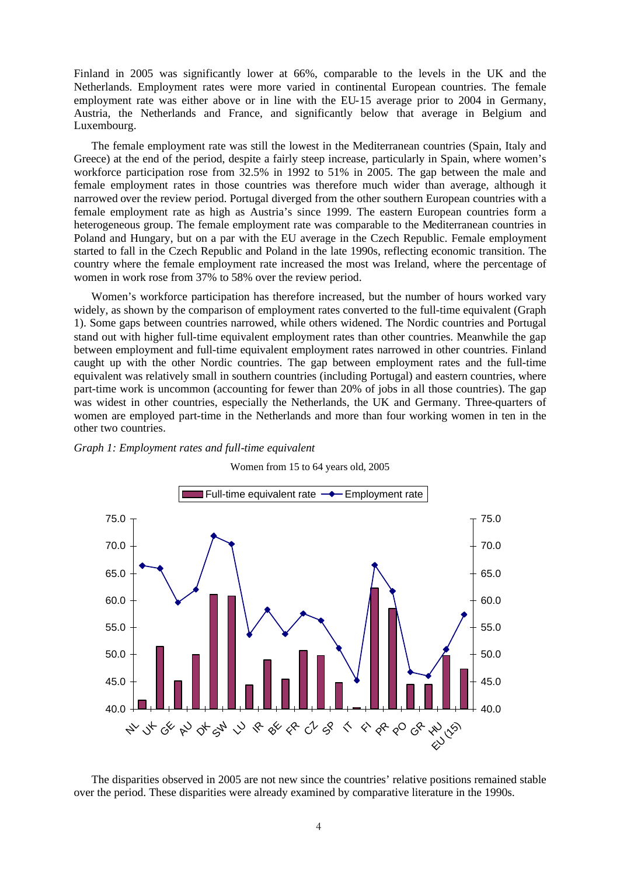Finland in 2005 was significantly lower at 66%, comparable to the levels in the UK and the Netherlands. Employment rates were more varied in continental European countries. The female employment rate was either above or in line with the EU-15 average prior to 2004 in Germany, Austria, the Netherlands and France, and significantly below that average in Belgium and Luxembourg.

The female employment rate was still the lowest in the Mediterranean countries (Spain, Italy and Greece) at the end of the period, despite a fairly steep increase, particularly in Spain, where women's workforce participation rose from 32.5% in 1992 to 51% in 2005. The gap between the male and female employment rates in those countries was therefore much wider than average, although it narrowed over the review period. Portugal diverged from the other southern European countries with a female employment rate as high as Austria's since 1999. The eastern European countries form a heterogeneous group. The female employment rate was comparable to the Mediterranean countries in Poland and Hungary, but on a par with the EU average in the Czech Republic. Female employment started to fall in the Czech Republic and Poland in the late 1990s, reflecting economic transition. The country where the female employment rate increased the most was Ireland, where the percentage of women in work rose from 37% to 58% over the review period.

Women's workforce participation has therefore increased, but the number of hours worked vary widely, as shown by the comparison of employment rates converted to the full-time equivalent (Graph 1). Some gaps between countries narrowed, while others widened. The Nordic countries and Portugal stand out with higher full-time equivalent employment rates than other countries. Meanwhile the gap between employment and full-time equivalent employment rates narrowed in other countries. Finland caught up with the other Nordic countries. The gap between employment rates and the full-time equivalent was relatively small in southern countries (including Portugal) and eastern countries, where part-time work is uncommon (accounting for fewer than 20% of jobs in all those countries). The gap was widest in other countries, especially the Netherlands, the UK and Germany. Three-quarters of women are employed part-time in the Netherlands and more than four working women in ten in the other two countries.





Women from 15 to 64 years old, 2005

The disparities observed in 2005 are not new since the countries' relative positions remained stable over the period. These disparities were already examined by comparative literature in the 1990s.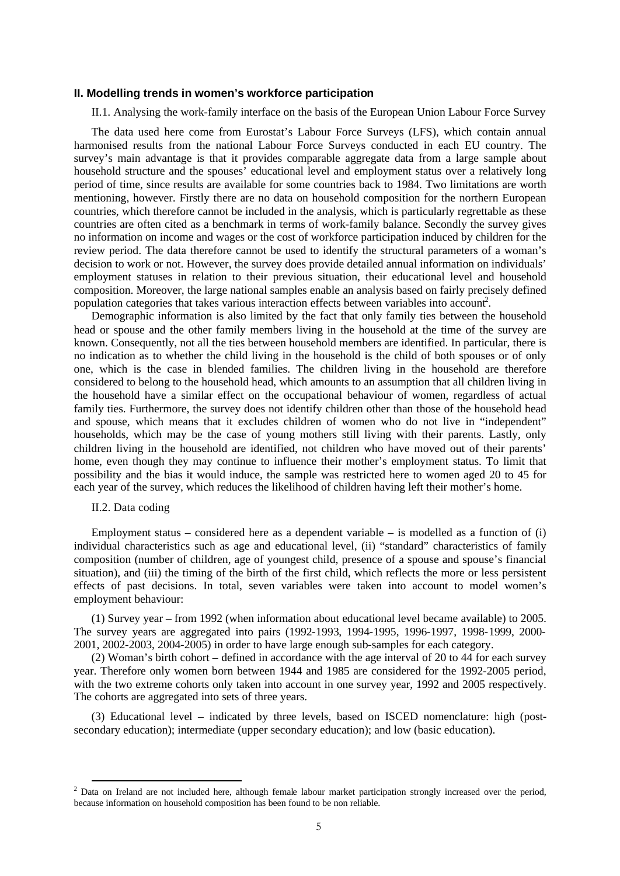#### **II. Modelling trends in women's workforce participation**

II.1. Analysing the work-family interface on the basis of the European Union Labour Force Survey

The data used here come from Eurostat's Labour Force Surveys (LFS), which contain annual harmonised results from the national Labour Force Surveys conducted in each EU country. The survey's main advantage is that it provides comparable aggregate data from a large sample about household structure and the spouses' educational level and employment status over a relatively long period of time, since results are available for some countries back to 1984. Two limitations are worth mentioning, however. Firstly there are no data on household composition for the northern European countries, which therefore cannot be included in the analysis, which is particularly regrettable as these countries are often cited as a benchmark in terms of work-family balance. Secondly the survey gives no information on income and wages or the cost of workforce participation induced by children for the review period. The data therefore cannot be used to identify the structural parameters of a woman's decision to work or not. However, the survey does provide detailed annual information on individuals' employment statuses in relation to their previous situation, their educational level and household composition. Moreover, the large national samples enable an analysis based on fairly precisely defined population categories that takes various interaction effects between variables into account<sup>2</sup>.

Demographic information is also limited by the fact that only family ties between the household head or spouse and the other family members living in the household at the time of the survey are known. Consequently, not all the ties between household members are identified. In particular, there is no indication as to whether the child living in the household is the child of both spouses or of only one, which is the case in blended families. The children living in the household are therefore considered to belong to the household head, which amounts to an assumption that all children living in the household have a similar effect on the occupational behaviour of women, regardless of actual family ties. Furthermore, the survey does not identify children other than those of the household head and spouse, which means that it excludes children of women who do not live in "independent" households, which may be the case of young mothers still living with their parents. Lastly, only children living in the household are identified, not children who have moved out of their parents' home, even though they may continue to influence their mother's employment status. To limit that possibility and the bias it would induce, the sample was restricted here to women aged 20 to 45 for each year of the survey, which reduces the likelihood of children having left their mother's home.

# II.2. Data coding

Employment status – considered here as a dependent variable – is modelled as a function of  $(i)$ individual characteristics such as age and educational level, (ii) "standard" characteristics of family composition (number of children, age of youngest child, presence of a spouse and spouse's financial situation), and (iii) the timing of the birth of the first child, which reflects the more or less persistent effects of past decisions. In total, seven variables were taken into account to model women's employment behaviour:

(1) Survey year – from 1992 (when information about educational level became available) to 2005. The survey years are aggregated into pairs (1992-1993, 1994-1995, 1996-1997, 1998-1999, 2000- 2001, 2002-2003, 2004-2005) in order to have large enough sub-samples for each category.

(2) Woman's birth cohort – defined in accordance with the age interval of 20 to 44 for each survey year. Therefore only women born between 1944 and 1985 are considered for the 1992-2005 period, with the two extreme cohorts only taken into account in one survey year, 1992 and 2005 respectively. The cohorts are aggregated into sets of three years.

(3) Educational level – indicated by three levels, based on ISCED nomenclature: high (postsecondary education); intermediate (upper secondary education); and low (basic education).

<sup>&</sup>lt;sup>2</sup> Data on Ireland are not included here, although female labour market participation strongly increased over the period, because information on household composition has been found to be non reliable.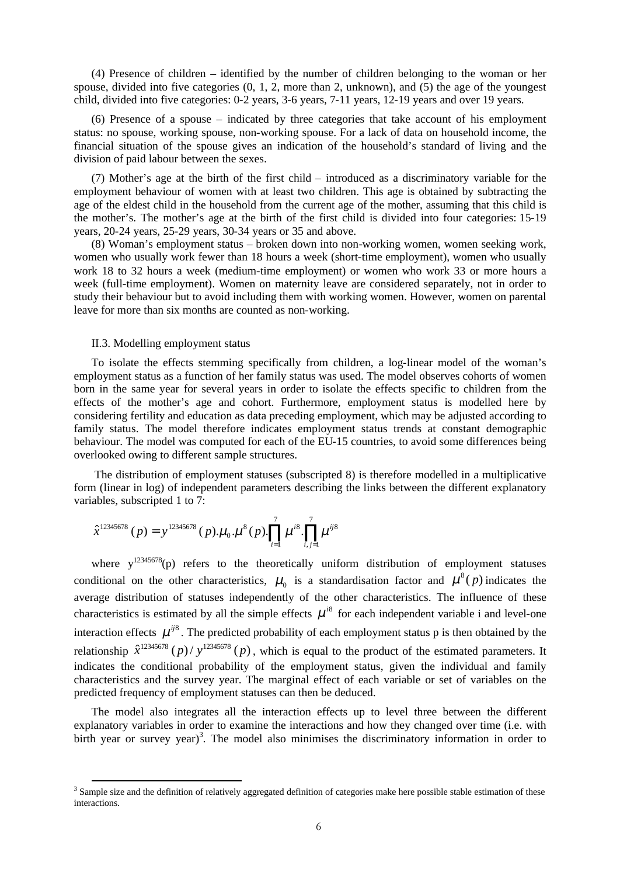(4) Presence of children – identified by the number of children belonging to the woman or her spouse, divided into five categories  $(0, 1, 2, 1)$  more than 2, unknown), and  $(5)$  the age of the youngest child, divided into five categories: 0-2 years, 3-6 years, 7-11 years, 12-19 years and over 19 years.

(6) Presence of a spouse – indicated by three categories that take account of his employment status: no spouse, working spouse, non-working spouse. For a lack of data on household income, the financial situation of the spouse gives an indication of the household's standard of living and the division of paid labour between the sexes.

(7) Mother's age at the birth of the first child – introduced as a discriminatory variable for the employment behaviour of women with at least two children. This age is obtained by subtracting the age of the eldest child in the household from the current age of the mother, assuming that this child is the mother's. The mother's age at the birth of the first child is divided into four categories: 15-19 years, 20-24 years, 25-29 years, 30-34 years or 35 and above.

(8) Woman's employment status – broken down into non-working women, women seeking work, women who usually work fewer than 18 hours a week (short-time employment), women who usually work 18 to 32 hours a week (medium-time employment) or women who work 33 or more hours a week (full-time employment). Women on maternity leave are considered separately, not in order to study their behaviour but to avoid including them with working women. However, women on parental leave for more than six months are counted as non-working.

# II.3. Modelling employment status

To isolate the effects stemming specifically from children, a log-linear model of the woman's employment status as a function of her family status was used. The model observes cohorts of women born in the same year for several years in order to isolate the effects specific to children from the effects of the mother's age and cohort. Furthermore, employment status is modelled here by considering fertility and education as data preceding employment, which may be adjusted according to family status. The model therefore indicates employment status trends at constant demographic behaviour. The model was computed for each of the EU-15 countries, to avoid some differences being overlooked owing to different sample structures.

The distribution of employment statuses (subscripted 8) is therefore modelled in a multiplicative form (linear in log) of independent parameters describing the links between the different explanatory variables, subscripted 1 to 7:

$$
\hat{x}^{12345678} (p) = y^{12345678} (p) . \mu_0 . \mu^8 (p) . \prod_{i=1}^7 \mu^{i8} . \prod_{i,j=1}^7 \mu^{ij8}
$$

where  $y^{12345678}(p)$  refers to the theoretically uniform distribution of employment statuses conditional on the other characteristics,  $\mu_0$  is a standardisation factor and  $\mu^8(p)$  indicates the average distribution of statuses independently of the other characteristics. The influence of these characteristics is estimated by all the simple effects  $\mu^{i8}$  for each independent variable i and level-one interaction effects  $\mu^{i\delta}$ . The predicted probability of each employment status p is then obtained by the relationship  $\hat{x}^{12345678}$  (p)/ $y^{12345678}$  (p), which is equal to the product of the estimated parameters. It indicates the conditional probability of the employment status, given the individual and family characteristics and the survey year. The marginal effect of each variable or set of variables on the predicted frequency of employment statuses can then be deduced.

The model also integrates all the interaction effects up to level three between the different explanatory variables in order to examine the interactions and how they changed over time (i.e. with birth year or survey year)<sup>3</sup>. The model also minimises the discriminatory information in order to

<sup>&</sup>lt;sup>3</sup> Sample size and the definition of relatively aggregated definition of categories make here possible stable estimation of these interactions.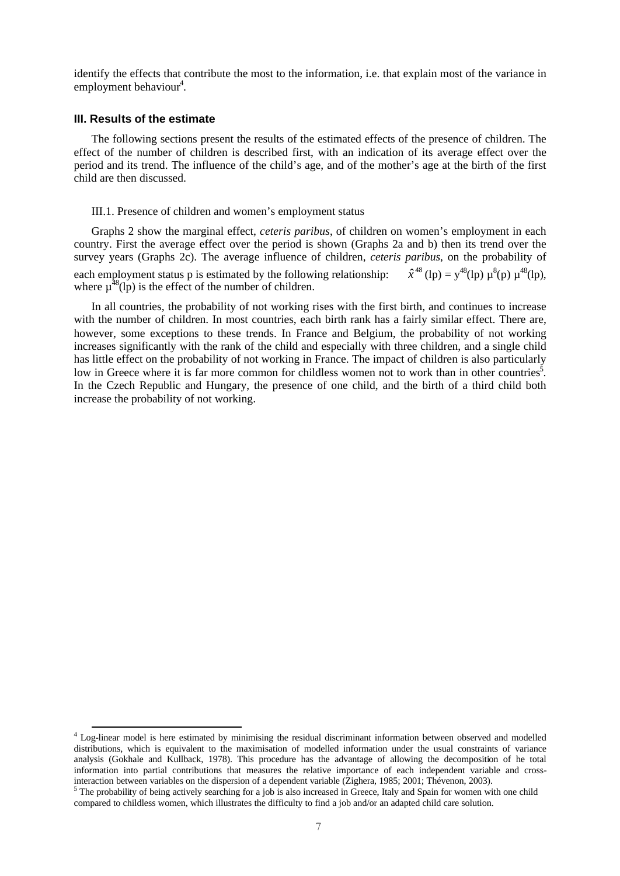identify the effects that contribute the most to the information, i.e. that explain most of the variance in employment behaviour<sup>4</sup>.

### **III. Results of the estimate**

The following sections present the results of the estimated effects of the presence of children. The effect of the number of children is described first, with an indication of its average effect over the period and its trend. The influence of the child's age, and of the mother's age at the birth of the first child are then discussed.

# III.1. Presence of children and women's employment status

Graphs 2 show the marginal effect, *ceteris paribus*, of children on women's employment in each country. First the average effect over the period is shown (Graphs 2a and b) then its trend over the survey years (Graphs 2c). The average influence of children, *ceteris paribus*, on the probability of each employment status p is estimated by the following relationship:  $\hat{x}^{48}$  (lp) = y<sup>48</sup>(lp)  $\mu^8$ (lp),  $\mu^{48}$ (lp), where  $\mu^{48}$ (lp) is the effect of the number of children.

In all countries, the probability of not working rises with the first birth, and continues to increase with the number of children. In most countries, each birth rank has a fairly similar effect. There are, however, some exceptions to these trends. In France and Belgium, the probability of not working increases significantly with the rank of the child and especially with three children, and a single child has little effect on the probability of not working in France. The impact of children is also particularly low in Greece where it is far more common for childless women not to work than in other countries<sup>5</sup>. In the Czech Republic and Hungary, the presence of one child, and the birth of a third child both increase the probability of not working.

<sup>&</sup>lt;sup>4</sup> Log-linear model is here estimated by minimising the residual discriminant information between observed and modelled distributions, which is equivalent to the maximisation of modelled information under the usual constraints of variance analysis (Gokhale and Kullback, 1978). This procedure has the advantage of allowing the decomposition of he total information into partial contributions that measures the relative importance of each independent variable and crossinteraction between variables on the dispersion of a dependent variable (Zighera, 1985; 2001; Thévenon, 2003).

<sup>&</sup>lt;sup>5</sup> The probability of being actively searching for a job is also increased in Greece, Italy and Spain for women with one child compared to childless women, which illustrates the difficulty to find a job and/or an adapted child care solution.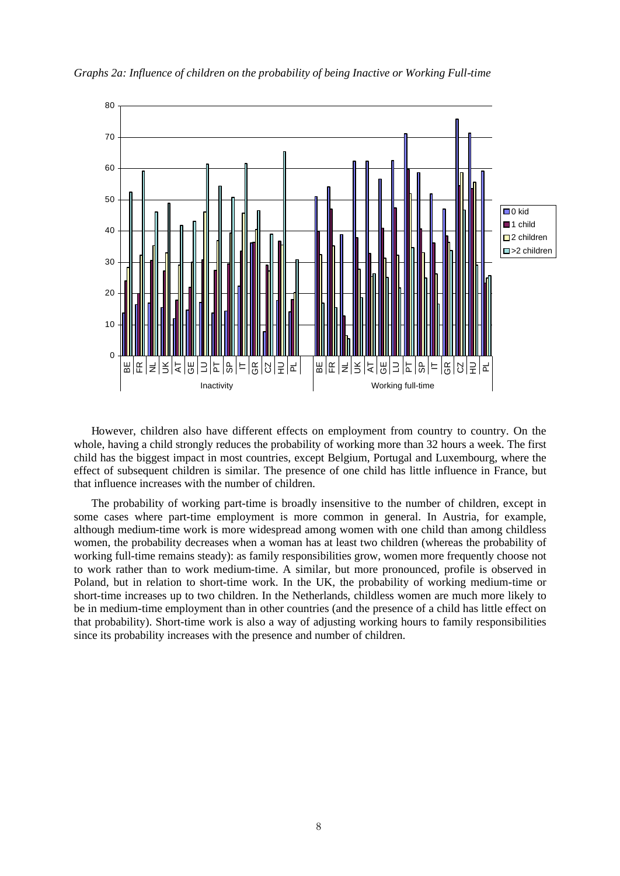

*Graphs 2a: Influence of children on the probability of being Inactive or Working Full-time*

However, children also have different effects on employment from country to country. On the whole, having a child strongly reduces the probability of working more than 32 hours a week. The first child has the biggest impact in most countries, except Belgium, Portugal and Luxembourg, where the effect of subsequent children is similar. The presence of one child has little influence in France, but that influence increases with the number of children.

The probability of working part-time is broadly insensitive to the number of children, except in some cases where part-time employment is more common in general. In Austria, for example, although medium-time work is more widespread among women with one child than among childless women, the probability decreases when a woman has at least two children (whereas the probability of working full-time remains steady): as family responsibilities grow, women more frequently choose not to work rather than to work medium-time. A similar, but more pronounced, profile is observed in Poland, but in relation to short-time work. In the UK, the probability of working medium-time or short-time increases up to two children. In the Netherlands, childless women are much more likely to be in medium-time employment than in other countries (and the presence of a child has little effect on that probability). Short-time work is also a way of adjusting working hours to family responsibilities since its probability increases with the presence and number of children.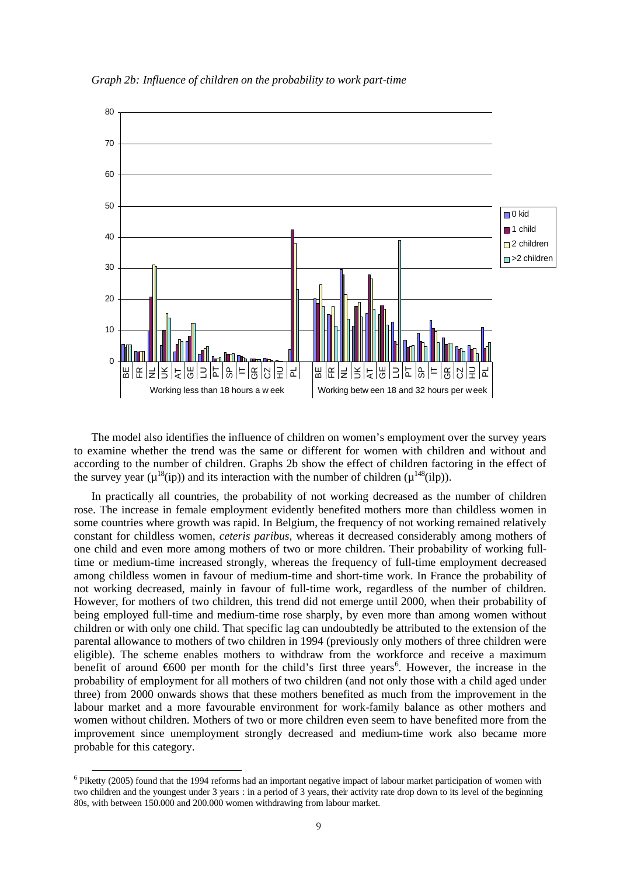

*Graph 2b: Influence of children on the probability to work part-time*

The model also identifies the influence of children on women's employment over the survey years to examine whether the trend was the same or different for women with children and without and according to the number of children. Graphs 2b show the effect of children factoring in the effect of the survey year ( $\mu^{18}$ (ip)) and its interaction with the number of children ( $\mu^{148}$ (ilp)).

In practically all countries, the probability of not working decreased as the number of children rose. The increase in female employment evidently benefited mothers more than childless women in some countries where growth was rapid. In Belgium, the frequency of not working remained relatively constant for childless women, *ceteris paribus*, whereas it decreased considerably among mothers of one child and even more among mothers of two or more children. Their probability of working fulltime or medium-time increased strongly, whereas the frequency of full-time employment decreased among childless women in favour of medium-time and short-time work. In France the probability of not working decreased, mainly in favour of full-time work, regardless of the number of children. However, for mothers of two children, this trend did not emerge until 2000, when their probability of being employed full-time and medium-time rose sharply, by even more than among women without children or with only one child. That specific lag can undoubtedly be attributed to the extension of the parental allowance to mothers of two children in 1994 (previously only mothers of three children were eligible). The scheme enables mothers to withdraw from the workforce and receive a maximum benefit of around €600 per month for the child's first three years<sup>6</sup>. However, the increase in the probability of employment for all mothers of two children (and not only those with a child aged under three) from 2000 onwards shows that these mothers benefited as much from the improvement in the labour market and a more favourable environment for work-family balance as other mothers and women without children. Mothers of two or more children even seem to have benefited more from the improvement since unemployment strongly decreased and medium-time work also became more probable for this category.

<sup>&</sup>lt;sup>6</sup> Piketty (2005) found that the 1994 reforms had an important negative impact of labour market participation of women with two children and the youngest under 3 years : in a period of 3 years, their activity rate drop down to its level of the beginning 80s, with between 150.000 and 200.000 women withdrawing from labour market.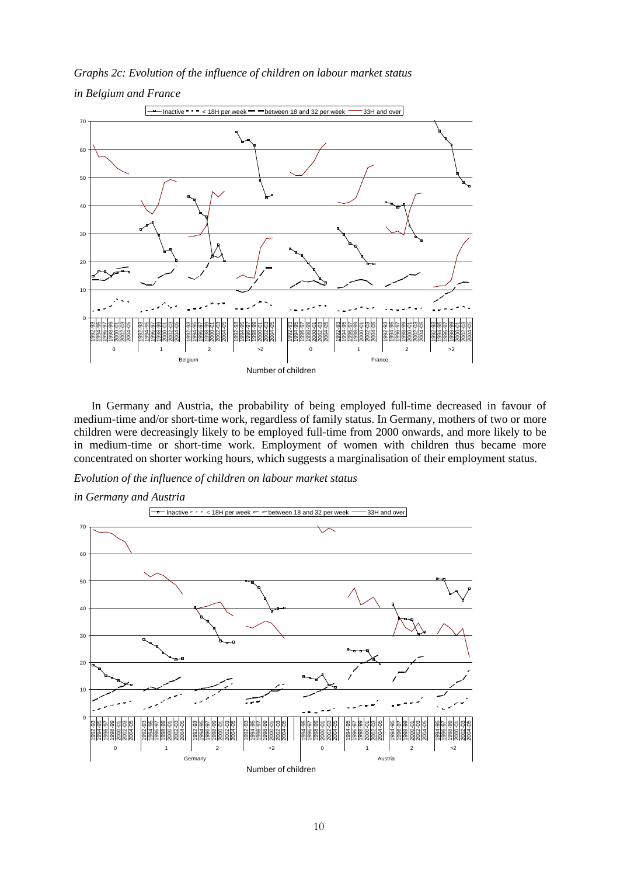*Graphs 2c: Evolution of the influence of children on labour market status in Belgium and France*



In Germany and Austria, the probability of being employed full-time decreased in favour of medium-time and/or short-time work, regardless of family status. In Germany, mothers of two or more children were decreasingly likely to be employed full-time from 2000 onwards, and more likely to be in medium-time or short-time work. Employment of women with children thus became more concentrated on shorter working hours, which suggests a marginalisation of their employment status.

*Evolution of the influence of children on labour market status*

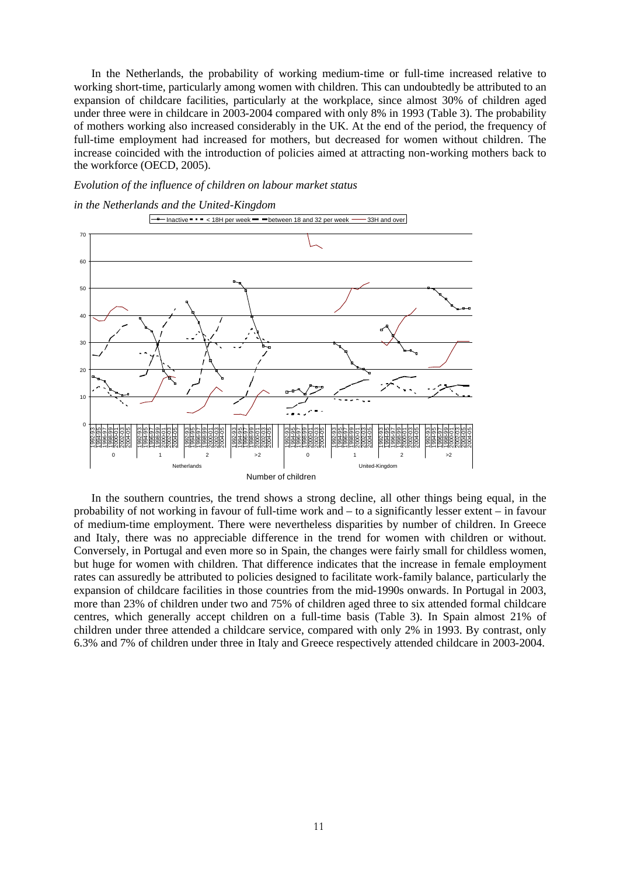In the Netherlands, the probability of working medium-time or full-time increased relative to working short-time, particularly among women with children. This can undoubtedly be attributed to an expansion of childcare facilities, particularly at the workplace, since almost 30% of children aged under three were in childcare in 2003-2004 compared with only 8% in 1993 (Table 3). The probability of mothers working also increased considerably in the UK. At the end of the period, the frequency of full-time employment had increased for mothers, but decreased for women without children. The increase coincided with the introduction of policies aimed at attracting non-working mothers back to the workforce (OECD, 2005).

# *Evolution of the influence of children on labour market status*





In the southern countries, the trend shows a strong decline, all other things being equal, in the probability of not working in favour of full-time work and – to a significantly lesser extent – in favour of medium-time employment. There were nevertheless disparities by number of children. In Greece and Italy, there was no appreciable difference in the trend for women with children or without. Conversely, in Portugal and even more so in Spain, the changes were fairly small for childless women, but huge for women with children. That difference indicates that the increase in female employment rates can assuredly be attributed to policies designed to facilitate work-family balance, particularly the expansion of childcare facilities in those countries from the mid-1990s onwards. In Portugal in 2003, more than 23% of children under two and 75% of children aged three to six attended formal childcare centres, which generally accept children on a full-time basis (Table 3). In Spain almost 21% of children under three attended a childcare service, compared with only 2% in 1993. By contrast, only 6.3% and 7% of children under three in Italy and Greece respectively attended childcare in 2003-2004.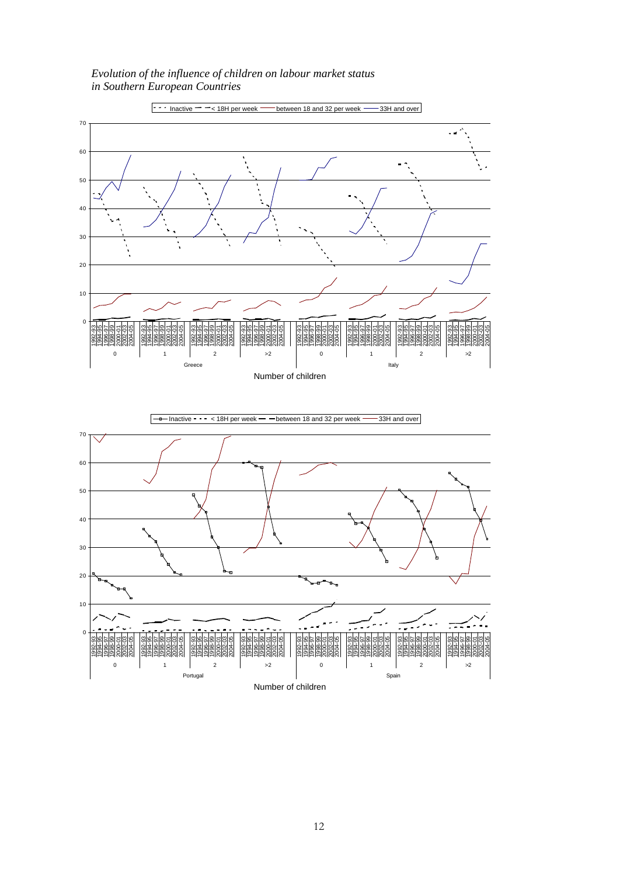*Evolution of the influence of children on labour market status in Southern European Countries*

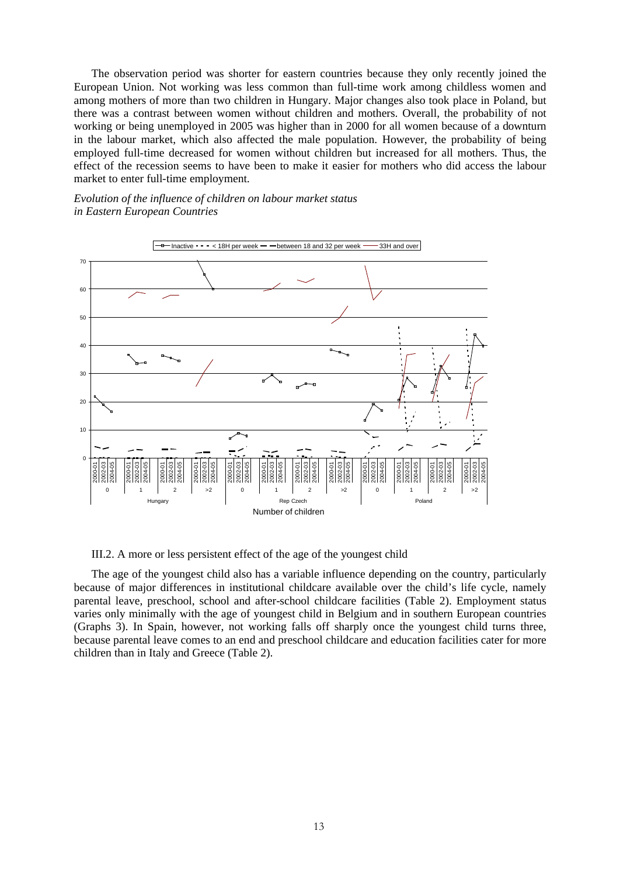The observation period was shorter for eastern countries because they only recently joined the European Union. Not working was less common than full-time work among childless women and among mothers of more than two children in Hungary. Major changes also took place in Poland, but there was a contrast between women without children and mothers. Overall, the probability of not working or being unemployed in 2005 was higher than in 2000 for all women because of a downturn in the labour market, which also affected the male population. However, the probability of being employed full-time decreased for women without children but increased for all mothers. Thus, the effect of the recession seems to have been to make it easier for mothers who did access the labour market to enter full-time employment.

# *Evolution of the influence of children on labour market status in Eastern European Countries*



III.2. A more or less persistent effect of the age of the youngest child

The age of the youngest child also has a variable influence depending on the country, particularly because of major differences in institutional childcare available over the child's life cycle, namely parental leave, preschool, school and after-school childcare facilities (Table 2). Employment status varies only minimally with the age of youngest child in Belgium and in southern European countries (Graphs 3). In Spain, however, not working falls off sharply once the youngest child turns three, because parental leave comes to an end and preschool childcare and education facilities cater for more children than in Italy and Greece (Table 2).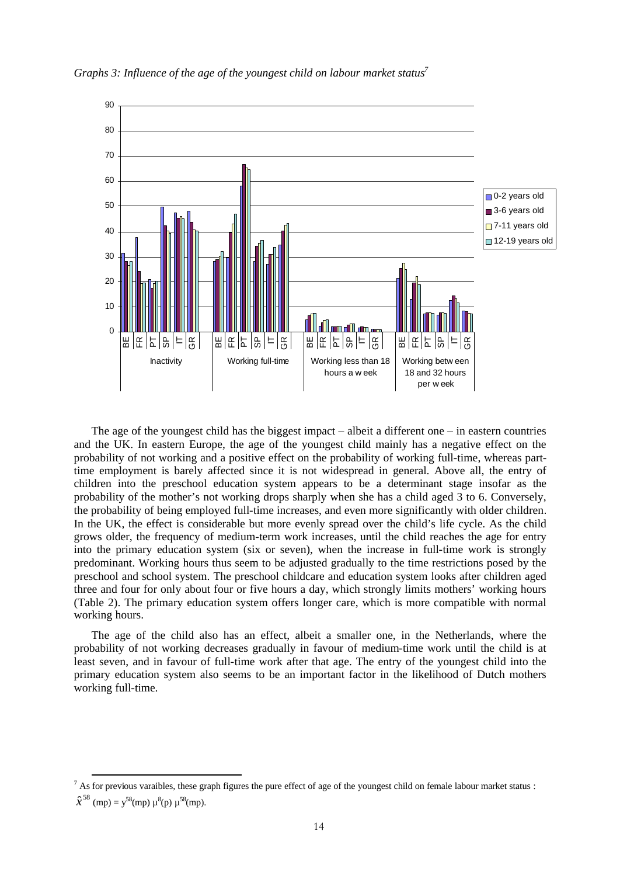

*Graphs 3: Influence of the age of the youngest child on labour market status<sup>7</sup>*

The age of the youngest child has the biggest impact – albeit a different one – in eastern countries and the UK. In eastern Europe, the age of the youngest child mainly has a negative effect on the probability of not working and a positive effect on the probability of working full-time, whereas parttime employment is barely affected since it is not widespread in general. Above all, the entry of children into the preschool education system appears to be a determinant stage insofar as the probability of the mother's not working drops sharply when she has a child aged 3 to 6. Conversely, the probability of being employed full-time increases, and even more significantly with older children. In the UK, the effect is considerable but more evenly spread over the child's life cycle. As the child grows older, the frequency of medium-term work increases, until the child reaches the age for entry into the primary education system (six or seven), when the increase in full-time work is strongly predominant. Working hours thus seem to be adjusted gradually to the time restrictions posed by the preschool and school system. The preschool childcare and education system looks after children aged three and four for only about four or five hours a day, which strongly limits mothers' working hours (Table 2). The primary education system offers longer care, which is more compatible with normal working hours.

The age of the child also has an effect, albeit a smaller one, in the Netherlands, where the probability of not working decreases gradually in favour of medium-time work until the child is at least seven, and in favour of full-time work after that age. The entry of the youngest child into the primary education system also seems to be an important factor in the likelihood of Dutch mothers working full-time.

 $<sup>7</sup>$  As for previous varaibles, these graph figures the pure effect of age of the youngest child on female labour market status :</sup>  $\hat{x}^{58}$  (mp) =  $y^{58}$ (mp)  $\mu^{8}(p)$   $\mu^{58}(mp)$ .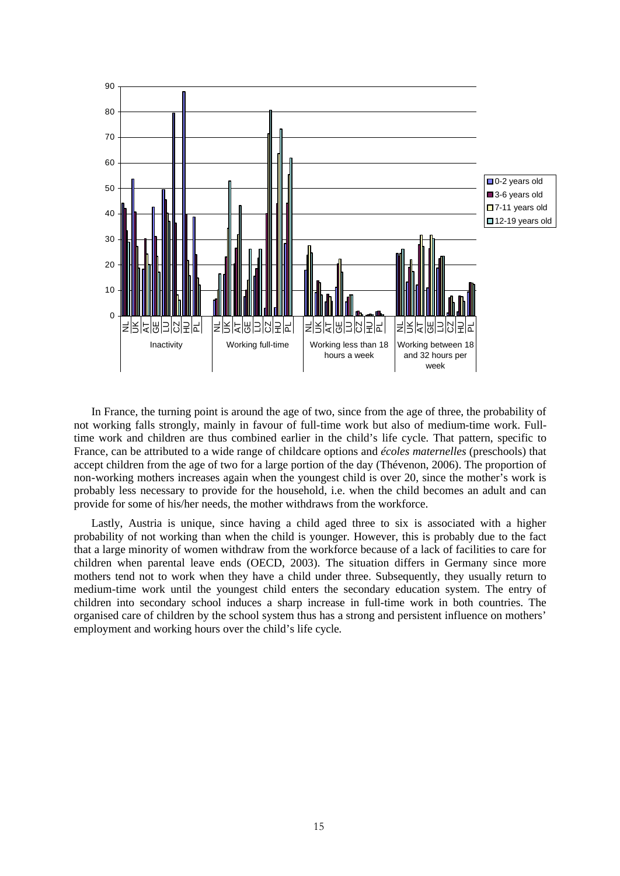

In France, the turning point is around the age of two, since from the age of three, the probability of not working falls strongly, mainly in favour of full-time work but also of medium-time work. Fulltime work and children are thus combined earlier in the child's life cycle. That pattern, specific to France, can be attributed to a wide range of childcare options and *écoles maternelles* (preschools) that accept children from the age of two for a large portion of the day (Thévenon, 2006). The proportion of non-working mothers increases again when the youngest child is over 20, since the mother's work is probably less necessary to provide for the household, i.e. when the child becomes an adult and can provide for some of his/her needs, the mother withdraws from the workforce.

Lastly, Austria is unique, since having a child aged three to six is associated with a higher probability of not working than when the child is younger. However, this is probably due to the fact that a large minority of women withdraw from the workforce because of a lack of facilities to care for children when parental leave ends (OECD, 2003). The situation differs in Germany since more mothers tend not to work when they have a child under three. Subsequently, they usually return to medium-time work until the youngest child enters the secondary education system. The entry of children into secondary school induces a sharp increase in full-time work in both countries. The organised care of children by the school system thus has a strong and persistent influence on mothers' employment and working hours over the child's life cycle.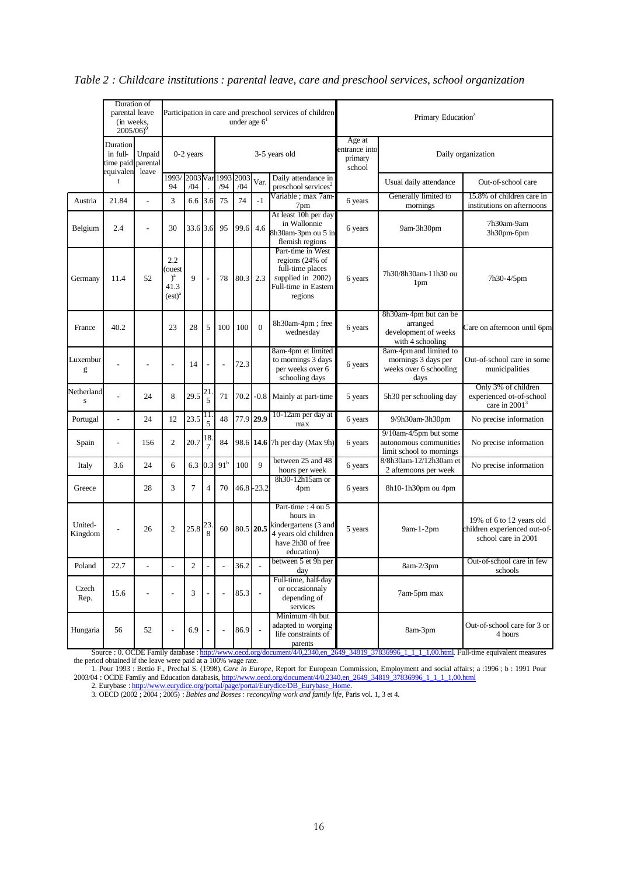|                    | Duration of<br>parental leave<br>(in weeks,<br>$2005/06$ <sup>0</sup> |                              | Participation in care and preschool services of children<br>under age $61$ |                |                      |                 |             |                          |                                                                                                                     | Primary Education <sup>2</sup>               |                                                                                    |                                                                                 |  |
|--------------------|-----------------------------------------------------------------------|------------------------------|----------------------------------------------------------------------------|----------------|----------------------|-----------------|-------------|--------------------------|---------------------------------------------------------------------------------------------------------------------|----------------------------------------------|------------------------------------------------------------------------------------|---------------------------------------------------------------------------------|--|
|                    | Duration<br>in full-<br>Unpaid<br>time paid parental<br>equivalen     |                              | $0-2$ years                                                                |                |                      | 3-5 years old   |             |                          |                                                                                                                     | Age at<br>entrance into<br>primary<br>school | Daily organization                                                                 |                                                                                 |  |
|                    | t                                                                     | leave                        | 1993/2003 Var 1993<br>/04<br>94                                            |                |                      | /94             | 2003<br>/04 | Var.                     | Daily attendance in<br>preschool services <sup>2</sup>                                                              |                                              | Usual daily attendance                                                             | Out-of-school care                                                              |  |
| Austria            | 21.84                                                                 | $\overline{a}$               | 3                                                                          | 6.6            | 3.6                  | 75              | 74          | $-1$                     | Variable ; max 7am-<br>7pm                                                                                          | 6 years                                      | Generally limited to<br>mornings                                                   | 15.8% of children care in<br>institutions on afternoons                         |  |
| Belgium            | 2.4                                                                   |                              | 30                                                                         | 33.6 3.6       |                      | 95              | 99.6        | 4.6                      | At least 10h per day<br>in Wallonnie<br>8h30am-3pm ou 5 in<br>flemish regions                                       | 6 years                                      | 9am-3h30pm                                                                         | 7h30am-9am<br>3h30pm-6pm                                                        |  |
| Germany            | 11.4                                                                  | 52                           | 2.2<br>ouest<br>) <sup>a</sup><br>41.3<br>(est) <sup>a</sup>               | 9              |                      | 78              | 80.3        | 2.3                      | Part-time in West<br>regions $(24\%$ of<br>full-time places<br>supplied in 2002)<br>Full-time in Eastern<br>regions | 6 years                                      | 7h30/8h30am-11h30 ou<br>1 <sub>pm</sub>                                            | 7h30-4/5pm                                                                      |  |
| France             | 40.2                                                                  |                              | 23                                                                         | 28             | 5                    | 100             | 100         | $\mathbf{0}$             | 8h30am-4pm; free<br>wednesday                                                                                       | 6 years                                      | 8h30am-4pm but can be<br>arranged<br>development of weeks<br>with 4 schooling      | Care on afternoon until 6pm                                                     |  |
| Luxembur<br>g      |                                                                       |                              | $\overline{a}$                                                             | 14             |                      | L,              | 72.3        |                          | 8am-4pm et limited<br>to mornings 3 days<br>per weeks over 6<br>schooling days                                      | 6 years                                      | 8am-4pm and limited to<br>mornings 3 days per<br>weeks over 6 schooling<br>days    | Out-of-school care in some<br>municipalities                                    |  |
| Netherland<br>S    |                                                                       | 24                           | 8                                                                          | 29.5           | 21<br>5              | 71              | 70.2        | $-0.8$                   | Mainly at part-time                                                                                                 | 5 years                                      | 5h30 per schooling day                                                             | Only 3% of children<br>experienced ot-of-school<br>care in $20013$              |  |
| Portugal           | $\overline{a}$                                                        | 24                           | 12                                                                         | 23.5           | 11<br>5              | 48              | 77.9        | 29.9                     | 10-12am per day at<br>max                                                                                           | 6 years<br>9/9h30am-3h30pm                   |                                                                                    | No precise information                                                          |  |
| Spain              | $\overline{a}$                                                        | 156                          | $\mathfrak{2}$                                                             | 20.7           | 18<br>$\overline{7}$ | 84              |             | 98.6 14.6                | 7h per day (Max 9h)                                                                                                 | 6 years                                      | $9/10$ am- $4/5$ pm but some<br>autonomous communities<br>limit school to mornings | No precise information                                                          |  |
| Italy              | 3.6                                                                   | 24                           | 6                                                                          | 6.3            | 0.3                  | 91 <sup>b</sup> | 100         | 9                        | between 25 and 48<br>hours per week                                                                                 | 6 years                                      | 8/8h30am-12/12h30am et<br>2 afternoons per week                                    | No precise information                                                          |  |
| Greece             |                                                                       | 28                           | 3                                                                          | $\overline{7}$ | 4                    | 70              |             | $46.8 - 23.2$            | 8h30-12h15am or<br>4pm                                                                                              | 6 years                                      | 8h10-1h30pm ou 4pm                                                                 |                                                                                 |  |
| United-<br>Kingdom | $\overline{a}$                                                        | 26                           | 2                                                                          | 25.8           | $\frac{23}{8}$       | 60              |             | 80.5 20.5                | Part-time: 4 ou 5<br>hours in<br>kindergartens (3 and<br>4 years old children<br>have 2h30 of free<br>education)    | 5 years                                      | $9am-1-2pm$                                                                        | 19% of 6 to 12 years old<br>children experienced out-of-<br>school care in 2001 |  |
| Poland             | 22.7                                                                  | $\qquad \qquad \blacksquare$ | $\overline{\phantom{a}}$                                                   | 2              | $\overline{a}$       |                 | 36.2        | $\overline{\phantom{a}}$ | between 5 et 9h per<br>day                                                                                          |                                              | $8am-2/3pm$                                                                        | Out-of-school care in few<br>schools                                            |  |
| Czech<br>Rep.      | 15.6                                                                  |                              | ÷,                                                                         | 3              |                      | $\overline{a}$  | 85.3        | $\overline{a}$           | Full-time, half-day<br>or occasionnaly<br>depending of<br>services                                                  |                                              | 7am-5pm max                                                                        |                                                                                 |  |
| Hungaria           | 56                                                                    | 52                           | $\overline{a}$                                                             | 6.9            |                      | $\overline{a}$  | 86.9        |                          | Minimum 4h but<br>adapted to worging<br>life constraints of<br>parents                                              |                                              | 8am-3pm                                                                            | Out-of-school care for 3 or<br>4 hours                                          |  |

# *Table 2 : Childcare institutions : parental leave, care and preschool services, school organization*

Source : 0. OCDE Family database : http://www.oecd.org/document/4/0,2340,en\_2649\_34819\_37836996\_1\_1\_1,00.html. Full-time equivalent measures the period obtained if the leave were paid at a 100% wage rate.

1. Pour 1993 : Bettio F., Prechal S. (1998), *Care in Europe*, Report for European Commission, Employment and social affairs; a :1996 ; b : 1991 Pour 2003/04 : OCDE Family and Education databasis, http://www.oecd.org/document/4/0,2340,en\_2649\_34819\_37836996\_1\_1\_1\_1,00.html 2. Eurybase: http://www.eurydice.org/portal/page/portal/Eurydice/DB\_Eurybase\_Home.

3. OECD (2002 ; 2004 ; 2005) : *Babies and Bosses : reconcyling work and family life*, Paris vol. 1, 3 et 4.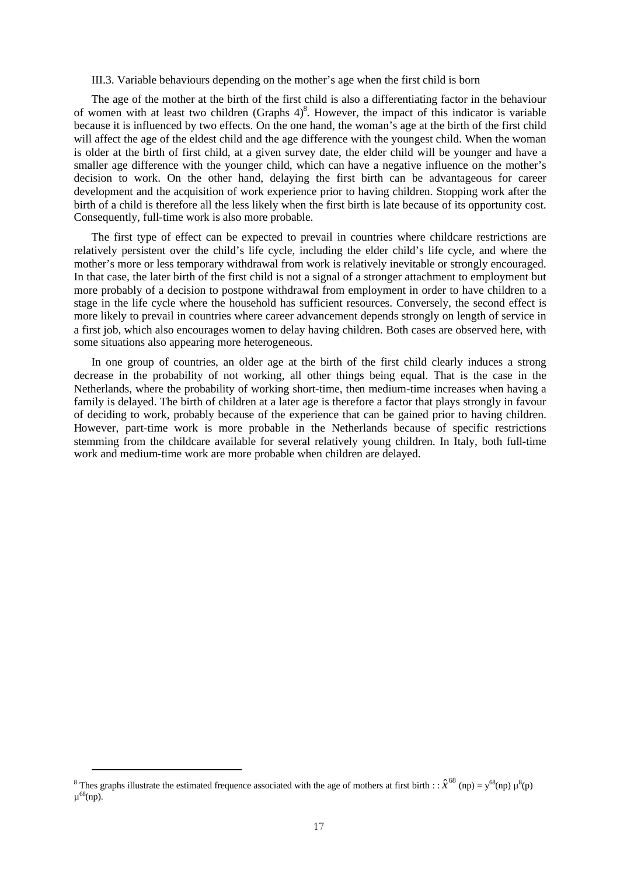III.3. Variable behaviours depending on the mother's age when the first child is born

The age of the mother at the birth of the first child is also a differentiating factor in the behaviour of women with at least two children (Graphs  $4)^8$ . However, the impact of this indicator is variable because it is influenced by two effects. On the one hand, the woman's age at the birth of the first child will affect the age of the eldest child and the age difference with the youngest child. When the woman is older at the birth of first child, at a given survey date, the elder child will be younger and have a smaller age difference with the younger child, which can have a negative influence on the mother's decision to work. On the other hand, delaying the first birth can be advantageous for career development and the acquisition of work experience prior to having children. Stopping work after the birth of a child is therefore all the less likely when the first birth is late because of its opportunity cost. Consequently, full-time work is also more probable.

The first type of effect can be expected to prevail in countries where childcare restrictions are relatively persistent over the child's life cycle, including the elder child's life cycle, and where the mother's more or less temporary withdrawal from work is relatively inevitable or strongly encouraged. In that case, the later birth of the first child is not a signal of a stronger attachment to employment but more probably of a decision to postpone withdrawal from employment in order to have children to a stage in the life cycle where the household has sufficient resources. Conversely, the second effect is more likely to prevail in countries where career advancement depends strongly on length of service in a first job, which also encourages women to delay having children. Both cases are observed here, with some situations also appearing more heterogeneous.

In one group of countries, an older age at the birth of the first child clearly induces a strong decrease in the probability of not working, all other things being equal. That is the case in the Netherlands, where the probability of working short-time, then medium-time increases when having a family is delayed. The birth of children at a later age is therefore a factor that plays strongly in favour of deciding to work, probably because of the experience that can be gained prior to having children. However, part-time work is more probable in the Netherlands because of specific restrictions stemming from the childcare available for several relatively young children. In Italy, both full-time work and medium-time work are more probable when children are delayed.

<sup>&</sup>lt;sup>8</sup> Thes graphs illustrate the estimated frequence associated with the age of mothers at first birth :  $\hat{x}^{68}$  (np) =  $y^{68}$ (np)  $\mu^8$ (p)  $\mu^{68}$ (np).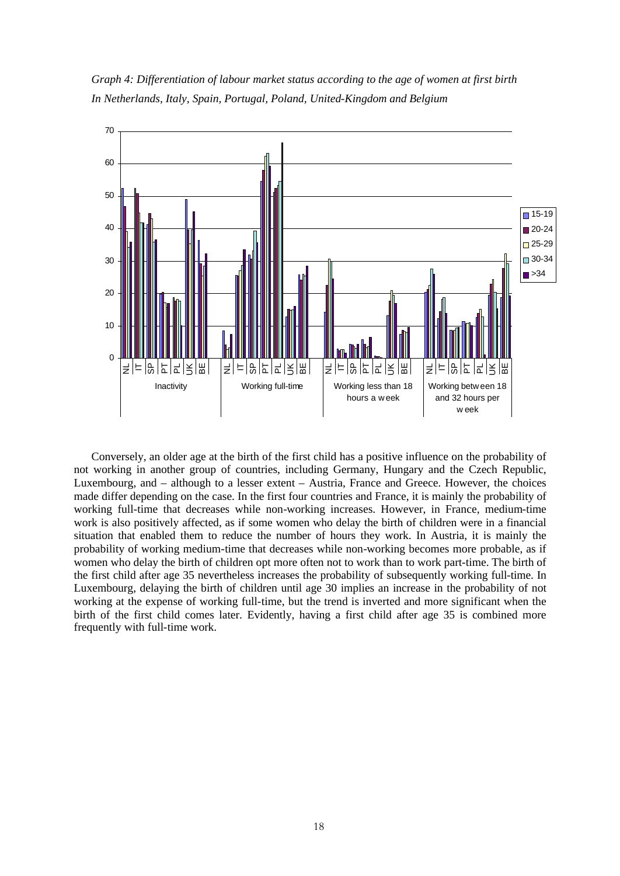*Graph 4: Differentiation of labour market status according to the age of women at first birth In Netherlands, Italy, Spain, Portugal, Poland, United-Kingdom and Belgium*



Conversely, an older age at the birth of the first child has a positive influence on the probability of not working in another group of countries, including Germany, Hungary and the Czech Republic, Luxembourg, and – although to a lesser extent – Austria, France and Greece. However, the choices made differ depending on the case. In the first four countries and France, it is mainly the probability of working full-time that decreases while non-working increases. However, in France, medium-time work is also positively affected, as if some women who delay the birth of children were in a financial situation that enabled them to reduce the number of hours they work. In Austria, it is mainly the probability of working medium-time that decreases while non-working becomes more probable, as if women who delay the birth of children opt more often not to work than to work part-time. The birth of the first child after age 35 nevertheless increases the probability of subsequently working full-time. In Luxembourg, delaying the birth of children until age 30 implies an increase in the probability of not working at the expense of working full-time, but the trend is inverted and more significant when the birth of the first child comes later. Evidently, having a first child after age 35 is combined more frequently with full-time work.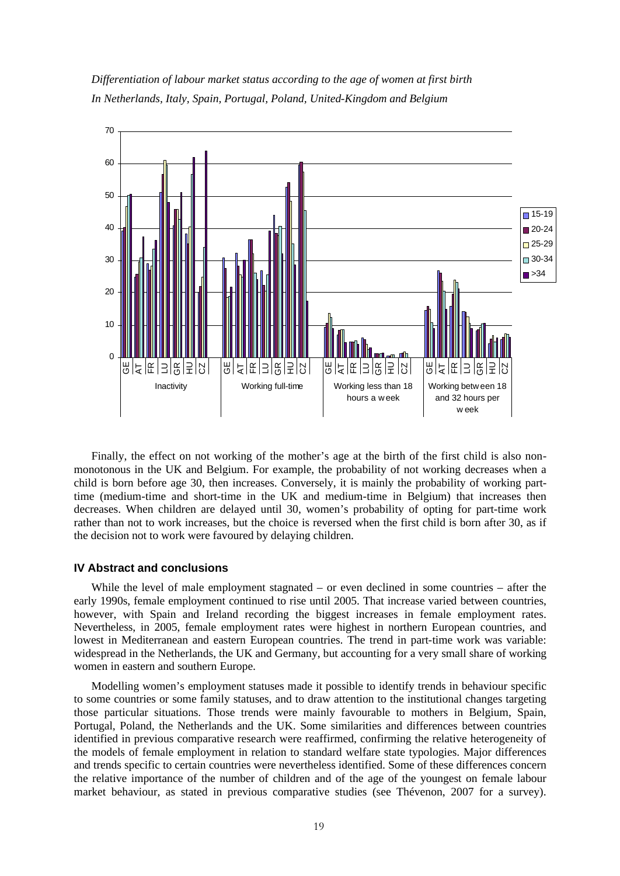



Finally, the effect on not working of the mother's age at the birth of the first child is also nonmonotonous in the UK and Belgium. For example, the probability of not working decreases when a child is born before age 30, then increases. Conversely, it is mainly the probability of working parttime (medium-time and short-time in the UK and medium-time in Belgium) that increases then decreases. When children are delayed until 30, women's probability of opting for part-time work rather than not to work increases, but the choice is reversed when the first child is born after 30, as if the decision not to work were favoured by delaying children.

# **IV Abstract and conclusions**

While the level of male employment stagnated – or even declined in some countries – after the early 1990s, female employment continued to rise until 2005. That increase varied between countries, however, with Spain and Ireland recording the biggest increases in female employment rates. Nevertheless, in 2005, female employment rates were highest in northern European countries, and lowest in Mediterranean and eastern European countries. The trend in part-time work was variable: widespread in the Netherlands, the UK and Germany, but accounting for a very small share of working women in eastern and southern Europe.

Modelling women's employment statuses made it possible to identify trends in behaviour specific to some countries or some family statuses, and to draw attention to the institutional changes targeting those particular situations. Those trends were mainly favourable to mothers in Belgium, Spain, Portugal, Poland, the Netherlands and the UK. Some similarities and differences between countries identified in previous comparative research were reaffirmed, confirming the relative heterogeneity of the models of female employment in relation to standard welfare state typologies. Major differences and trends specific to certain countries were nevertheless identified. Some of these differences concern the relative importance of the number of children and of the age of the youngest on female labour market behaviour, as stated in previous comparative studies (see Thévenon, 2007 for a survey).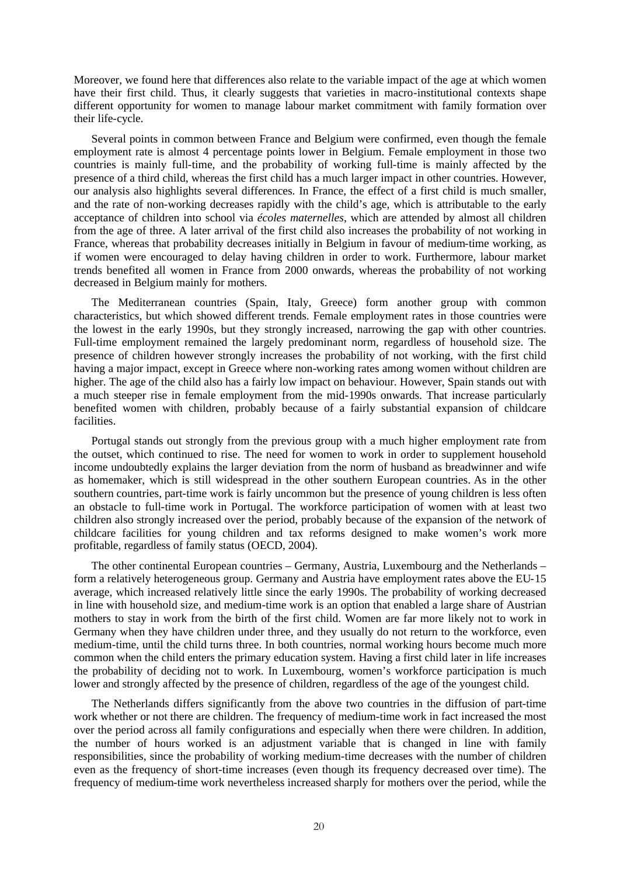Moreover, we found here that differences also relate to the variable impact of the age at which women have their first child. Thus, it clearly suggests that varieties in macro-institutional contexts shape different opportunity for women to manage labour market commitment with family formation over their life-cycle.

Several points in common between France and Belgium were confirmed, even though the female employment rate is almost 4 percentage points lower in Belgium. Female employment in those two countries is mainly full-time, and the probability of working full-time is mainly affected by the presence of a third child, whereas the first child has a much larger impact in other countries. However, our analysis also highlights several differences. In France, the effect of a first child is much smaller, and the rate of non-working decreases rapidly with the child's age, which is attributable to the early acceptance of children into school via *écoles maternelles*, which are attended by almost all children from the age of three. A later arrival of the first child also increases the probability of not working in France, whereas that probability decreases initially in Belgium in favour of medium-time working, as if women were encouraged to delay having children in order to work. Furthermore, labour market trends benefited all women in France from 2000 onwards, whereas the probability of not working decreased in Belgium mainly for mothers.

The Mediterranean countries (Spain, Italy, Greece) form another group with common characteristics, but which showed different trends. Female employment rates in those countries were the lowest in the early 1990s, but they strongly increased, narrowing the gap with other countries. Full-time employment remained the largely predominant norm, regardless of household size. The presence of children however strongly increases the probability of not working, with the first child having a major impact, except in Greece where non-working rates among women without children are higher. The age of the child also has a fairly low impact on behaviour. However, Spain stands out with a much steeper rise in female employment from the mid-1990s onwards. That increase particularly benefited women with children, probably because of a fairly substantial expansion of childcare facilities.

Portugal stands out strongly from the previous group with a much higher employment rate from the outset, which continued to rise. The need for women to work in order to supplement household income undoubtedly explains the larger deviation from the norm of husband as breadwinner and wife as homemaker, which is still widespread in the other southern European countries. As in the other southern countries, part-time work is fairly uncommon but the presence of young children is less often an obstacle to full-time work in Portugal. The workforce participation of women with at least two children also strongly increased over the period, probably because of the expansion of the network of childcare facilities for young children and tax reforms designed to make women's work more profitable, regardless of family status (OECD, 2004).

The other continental European countries – Germany, Austria, Luxembourg and the Netherlands – form a relatively heterogeneous group. Germany and Austria have employment rates above the EU-15 average, which increased relatively little since the early 1990s. The probability of working decreased in line with household size, and medium-time work is an option that enabled a large share of Austrian mothers to stay in work from the birth of the first child. Women are far more likely not to work in Germany when they have children under three, and they usually do not return to the workforce, even medium-time, until the child turns three. In both countries, normal working hours become much more common when the child enters the primary education system. Having a first child later in life increases the probability of deciding not to work. In Luxembourg, women's workforce participation is much lower and strongly affected by the presence of children, regardless of the age of the youngest child.

The Netherlands differs significantly from the above two countries in the diffusion of part-time work whether or not there are children. The frequency of medium-time work in fact increased the most over the period across all family configurations and especially when there were children. In addition, the number of hours worked is an adjustment variable that is changed in line with family responsibilities, since the probability of working medium-time decreases with the number of children even as the frequency of short-time increases (even though its frequency decreased over time). The frequency of medium-time work nevertheless increased sharply for mothers over the period, while the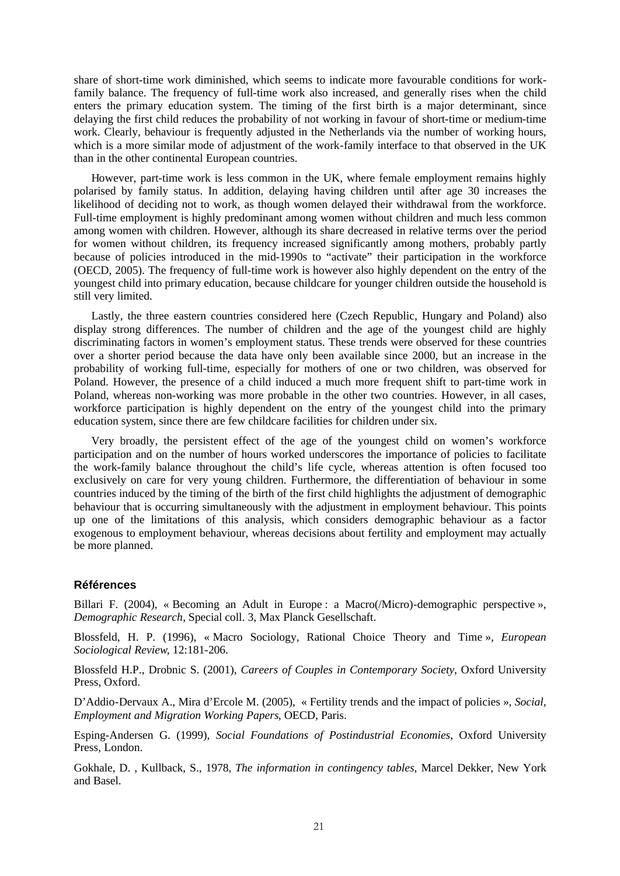share of short-time work diminished, which seems to indicate more favourable conditions for workfamily balance. The frequency of full-time work also increased, and generally rises when the child enters the primary education system. The timing of the first birth is a major determinant, since delaying the first child reduces the probability of not working in favour of short-time or medium-time work. Clearly, behaviour is frequently adjusted in the Netherlands via the number of working hours, which is a more similar mode of adjustment of the work-family interface to that observed in the UK than in the other continental European countries.

However, part-time work is less common in the UK, where female employment remains highly polarised by family status. In addition, delaying having children until after age 30 increases the likelihood of deciding not to work, as though women delayed their withdrawal from the workforce. Full-time employment is highly predominant among women without children and much less common among women with children. However, although its share decreased in relative terms over the period for women without children, its frequency increased significantly among mothers, probably partly because of policies introduced in the mid-1990s to "activate" their participation in the workforce (OECD, 2005). The frequency of full-time work is however also highly dependent on the entry of the youngest child into primary education, because childcare for younger children outside the household is still very limited.

Lastly, the three eastern countries considered here (Czech Republic, Hungary and Poland) also display strong differences. The number of children and the age of the youngest child are highly discriminating factors in women's employment status. These trends were observed for these countries over a shorter period because the data have only been available since 2000, but an increase in the probability of working full-time, especially for mothers of one or two children, was observed for Poland. However, the presence of a child induced a much more frequent shift to part-time work in Poland, whereas non-working was more probable in the other two countries. However, in all cases, workforce participation is highly dependent on the entry of the youngest child into the primary education system, since there are few childcare facilities for children under six.

Very broadly, the persistent effect of the age of the youngest child on women's workforce participation and on the number of hours worked underscores the importance of policies to facilitate the work-family balance throughout the child's life cycle, whereas attention is often focused too exclusively on care for very young children. Furthermore, the differentiation of behaviour in some countries induced by the timing of the birth of the first child highlights the adjustment of demographic behaviour that is occurring simultaneously with the adjustment in employment behaviour. This points up one of the limitations of this analysis, which considers demographic behaviour as a factor exogenous to employment behaviour, whereas decisions about fertility and employment may actually be more planned.

# **Références**

Billari F. (2004), « Becoming an Adult in Europe : a Macro(*/Micro*)-demographic perspective », *Demographic Research*, Special coll. 3, Max Planck Gesellschaft.

Blossfeld, H. P. (1996), « Macro Sociology, Rational Choice Theory and Time », *European Sociological Review*, 12:181-206.

Blossfeld H.P., Drobnic S. (2001), *Careers of Couples in Contemporary Society*, Oxford University Press, Oxford.

D'Addio-Dervaux A., Mira d'Ercole M. (2005), « Fertility trends and the impact of policies », *Social, Employment and Migration Working Papers*, OECD, Paris.

Esping-Andersen G. (1999), *Social Foundations of Postindustrial Economies*, Oxford University Press, London.

Gokhale, D. , Kullback, S., 1978, *The information in contingency tables*, Marcel Dekker, New York and Basel.